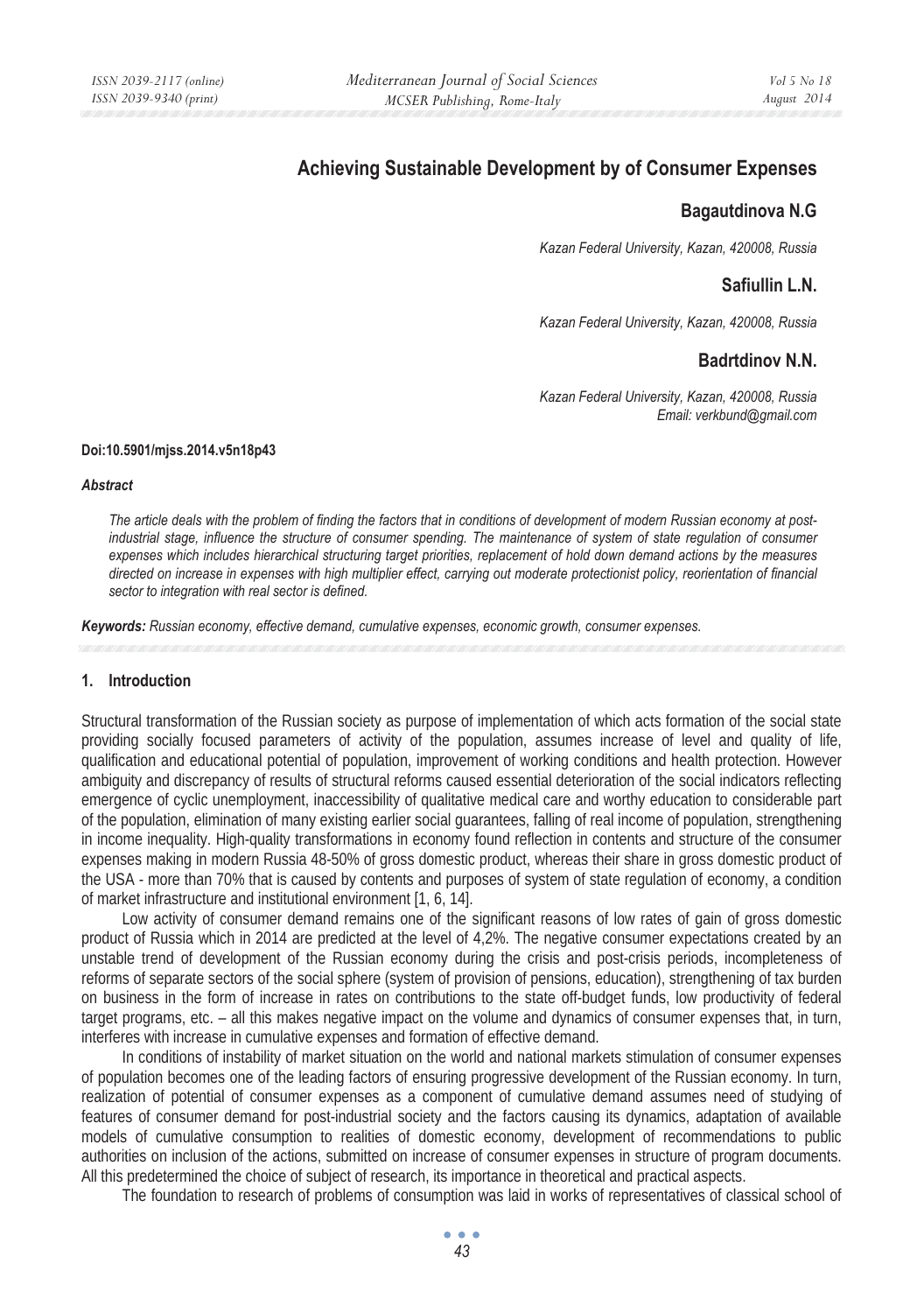# **Achieving Sustainable Development by of Consumer Expenses**

# **Bagautdinova N.G**

*Kazan Federal University, Kazan, 420008, Russia* 

### **Safiullin L.N.**

*Kazan Federal University, Kazan, 420008, Russia* 

# **Badrtdinov N.N.**

*Kazan Federal University, Kazan, 420008, Russia Email: verkbund@gmail.com* 

#### **Doi:10.5901/mjss.2014.v5n18p43**

#### *Abstract*

*The article deals with the problem of finding the factors that in conditions of development of modern Russian economy at postindustrial stage, influence the structure of consumer spending. The maintenance of system of state regulation of consumer expenses which includes hierarchical structuring target priorities, replacement of hold down demand actions by the measures directed on increase in expenses with high multiplier effect, carrying out moderate protectionist policy, reorientation of financial sector to integration with real sector is defined.* 

*Keywords: Russian economy, effective demand, cumulative expenses, economic growth, ɫonsumer expenses.*

### **1. Introduction**

Structural transformation of the Russian society as purpose of implementation of which acts formation of the social state providing socially focused parameters of activity of the population, assumes increase of level and quality of life, qualification and educational potential of population, improvement of working conditions and health protection. However ambiguity and discrepancy of results of structural reforms caused essential deterioration of the social indicators reflecting emergence of cyclic unemployment, inaccessibility of qualitative medical care and worthy education to considerable part of the population, elimination of many existing earlier social guarantees, falling of real income of population, strengthening in income inequality. High-quality transformations in economy found reflection in contents and structure of the consumer expenses making in modern Russia 48-50% of gross domestic product, whereas their share in gross domestic product of the USA - more than 70% that is caused by contents and purposes of system of state regulation of economy, a condition of market infrastructure and institutional environment [1, 6, 14].

Low activity of consumer demand remains one of the significant reasons of low rates of gain of gross domestic product of Russia which in 2014 are predicted at the level of 4,2%. The negative consumer expectations created by an unstable trend of development of the Russian economy during the crisis and post-crisis periods, incompleteness of reforms of separate sectors of the social sphere (system of provision of pensions, education), strengthening of tax burden on business in the form of increase in rates on contributions to the state off-budget funds, low productivity of federal target programs, etc. – all this makes negative impact on the volume and dynamics of consumer expenses that, in turn, interferes with increase in cumulative expenses and formation of effective demand.

In conditions of instability of market situation on the world and national markets stimulation of consumer expenses of population becomes one of the leading factors of ensuring progressive development of the Russian economy. In turn, realization of potential of consumer expenses as a component of cumulative demand assumes need of studying of features of consumer demand for post-industrial society and the factors causing its dynamics, adaptation of available models of cumulative consumption to realities of domestic economy, development of recommendations to public authorities on inclusion of the actions, submitted on increase of consumer expenses in structure of program documents. All this predetermined the choice of subject of research, its importance in theoretical and practical aspects.

The foundation to research of problems of consumption was laid in works of representatives of classical school of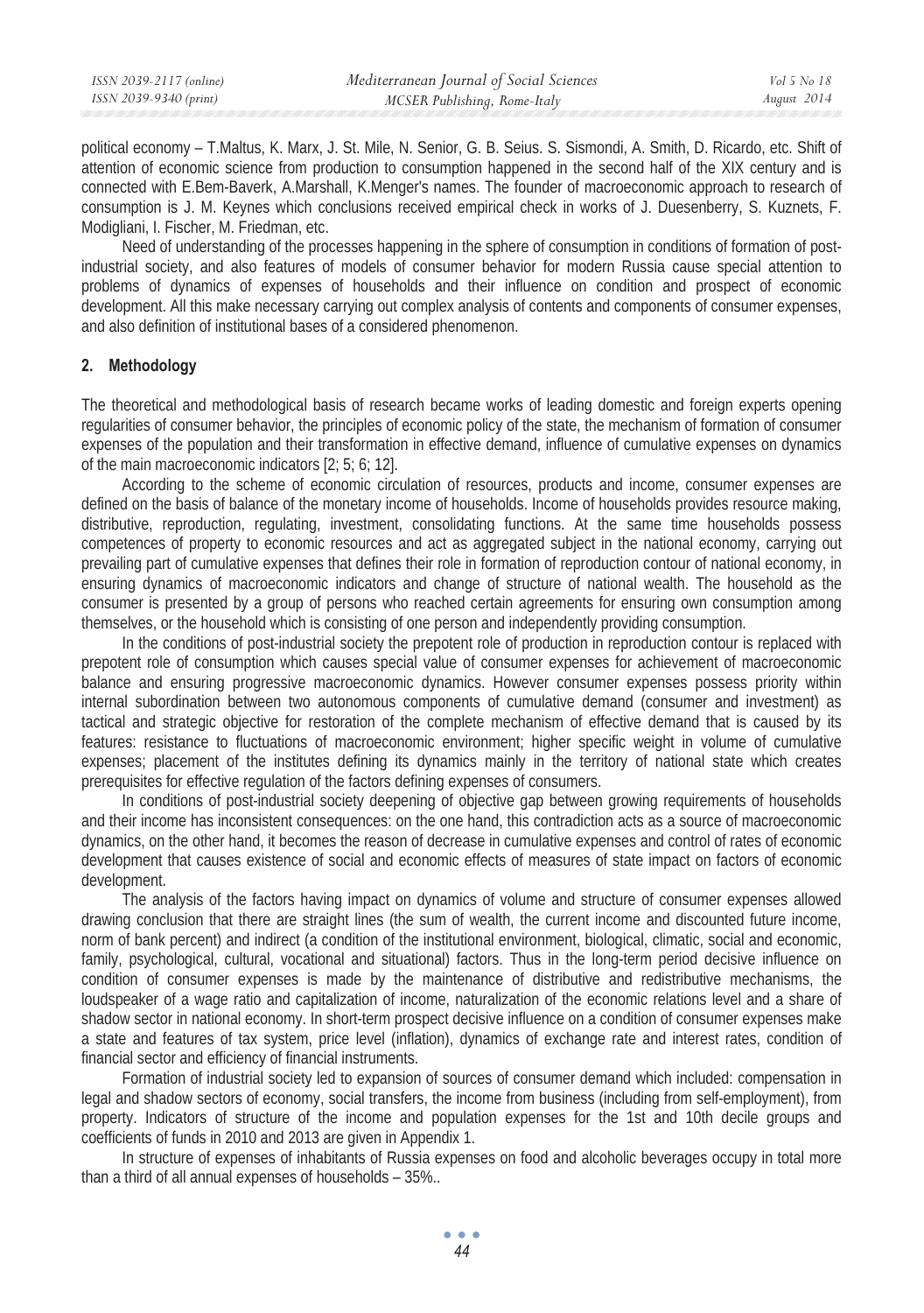| ISSN 2039-2117 (online) | Mediterranean Journal of Social Sciences | Vol 5 No 18 |
|-------------------------|------------------------------------------|-------------|
| ISSN 2039-9340 (print)  | MCSER Publishing, Rome-Italy             | August 2014 |
|                         |                                          |             |

political economy – T.Maltus, K. Marx, J. St. Mile, N. Senior, G. B. Seius. S. Sismondi, A. Smith, D. Ricardo, etc. Shift of attention of economic science from production to consumption happened in the second half of the XIX century and is connected with E.Bem-Baverk, A.Marshall, K.Menger's names. The founder of macroeconomic approach to research of consumption is J. M. Keynes which conclusions received empirical check in works of J. Duesenberry, S. Kuznets, F. Modigliani, I. Fischer, M. Friedman, etc.

Need of understanding of the processes happening in the sphere of consumption in conditions of formation of postindustrial society, and also features of models of consumer behavior for modern Russia cause special attention to problems of dynamics of expenses of households and their influence on condition and prospect of economic development. All this make necessary carrying out complex analysis of contents and components of consumer expenses, and also definition of institutional bases of a considered phenomenon.

### **2. Methodology**

The theoretical and methodological basis of research became works of leading domestic and foreign experts opening regularities of consumer behavior, the principles of economic policy of the state, the mechanism of formation of consumer expenses of the population and their transformation in effective demand, influence of cumulative expenses on dynamics of the main macroeconomic indicators [2; 5; 6; 12].

According to the scheme of economic circulation of resources, products and income, consumer expenses are defined on the basis of balance of the monetary income of households. Income of households provides resource making, distributive, reproduction, regulating, investment, consolidating functions. At the same time households possess competences of property to economic resources and act as aggregated subject in the national economy, carrying out prevailing part of cumulative expenses that defines their role in formation of reproduction contour of national economy, in ensuring dynamics of macroeconomic indicators and change of structure of national wealth. The household as the consumer is presented by a group of persons who reached certain agreements for ensuring own consumption among themselves, or the household which is consisting of one person and independently providing consumption.

In the conditions of post-industrial society the prepotent role of production in reproduction contour is replaced with prepotent role of consumption which causes special value of consumer expenses for achievement of macroeconomic balance and ensuring progressive macroeconomic dynamics. However consumer expenses possess priority within internal subordination between two autonomous components of cumulative demand (consumer and investment) as tactical and strategic objective for restoration of the complete mechanism of effective demand that is caused by its features: resistance to fluctuations of macroeconomic environment; higher specific weight in volume of cumulative expenses; placement of the institutes defining its dynamics mainly in the territory of national state which creates prerequisites for effective regulation of the factors defining expenses of consumers.

In conditions of post-industrial society deepening of objective gap between growing requirements of households and their income has inconsistent consequences: on the one hand, this contradiction acts as a source of macroeconomic dynamics, on the other hand, it becomes the reason of decrease in cumulative expenses and control of rates of economic development that causes existence of social and economic effects of measures of state impact on factors of economic development.

The analysis of the factors having impact on dynamics of volume and structure of consumer expenses allowed drawing conclusion that there are straight lines (the sum of wealth, the current income and discounted future income, norm of bank percent) and indirect (a condition of the institutional environment, biological, climatic, social and economic, family, psychological, cultural, vocational and situational) factors. Thus in the long-term period decisive influence on condition of consumer expenses is made by the maintenance of distributive and redistributive mechanisms, the loudspeaker of a wage ratio and capitalization of income, naturalization of the economic relations level and a share of shadow sector in national economy. In short-term prospect decisive influence on a condition of consumer expenses make a state and features of tax system, price level (inflation), dynamics of exchange rate and interest rates, condition of financial sector and efficiency of financial instruments.

Formation of industrial society led to expansion of sources of consumer demand which included: compensation in legal and shadow sectors of economy, social transfers, the income from business (including from self-employment), from property. Indicators of structure of the income and population expenses for the 1st and 10th decile groups and coefficients of funds in 2010 and 2013 are given in Appendix 1.

In structure of expenses of inhabitants of Russia expenses on food and alcoholic beverages occupy in total more than a third of all annual expenses of households – 35%..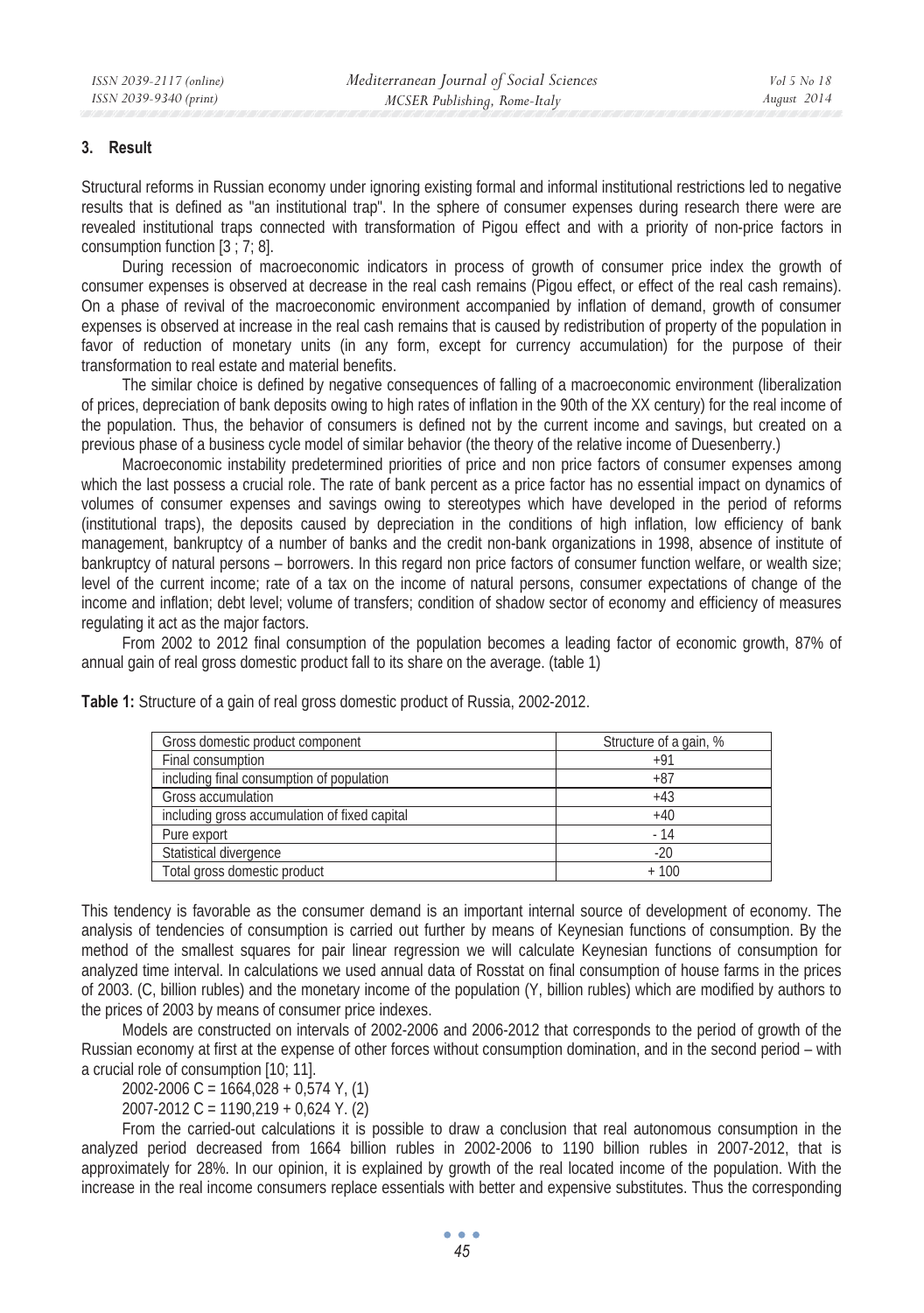### **3. Result**

Structural reforms in Russian economy under ignoring existing formal and informal institutional restrictions led to negative results that is defined as "an institutional trap". In the sphere of consumer expenses during research there were are revealed institutional traps connected with transformation of Pigou effect and with a priority of non-price factors in consumption function [3 ; 7; 8].

During recession of macroeconomic indicators in process of growth of consumer price index the growth of consumer expenses is observed at decrease in the real cash remains (Pigou effect, or effect of the real cash remains). On a phase of revival of the macroeconomic environment accompanied by inflation of demand, growth of consumer expenses is observed at increase in the real cash remains that is caused by redistribution of property of the population in favor of reduction of monetary units (in any form, except for currency accumulation) for the purpose of their transformation to real estate and material benefits.

The similar choice is defined by negative consequences of falling of a macroeconomic environment (liberalization of prices, depreciation of bank deposits owing to high rates of inflation in the 90th of the XX century) for the real income of the population. Thus, the behavior of consumers is defined not by the current income and savings, but created on a previous phase of a business cycle model of similar behavior (the theory of the relative income of Duesenberry.)

Macroeconomic instability predetermined priorities of price and non price factors of consumer expenses among which the last possess a crucial role. The rate of bank percent as a price factor has no essential impact on dynamics of volumes of consumer expenses and savings owing to stereotypes which have developed in the period of reforms (institutional traps), the deposits caused by depreciation in the conditions of high inflation, low efficiency of bank management, bankruptcy of a number of banks and the credit non-bank organizations in 1998, absence of institute of bankruptcy of natural persons – borrowers. In this regard non price factors of consumer function welfare, or wealth size; level of the current income; rate of a tax on the income of natural persons, consumer expectations of change of the income and inflation; debt level; volume of transfers; condition of shadow sector of economy and efficiency of measures regulating it act as the major factors.

From 2002 to 2012 final consumption of the population becomes a leading factor of economic growth, 87% of annual gain of real gross domestic product fall to its share on the average. (table 1)

| Gross domestic product component              | Structure of a gain, % |
|-----------------------------------------------|------------------------|
| Final consumption                             | $+91$                  |
| including final consumption of population     | +87                    |
| Gross accumulation                            | $+43$                  |
| including gross accumulation of fixed capital | $+40$                  |
| Pure export                                   | - 14                   |
| Statistical divergence                        | $-20$                  |
| Total gross domestic product                  | + 100                  |

**Table 1:** Structure of a gain of real gross domestic product of Russia, 2002-2012.

This tendency is favorable as the consumer demand is an important internal source of development of economy. The analysis of tendencies of consumption is carried out further by means of Keynesian functions of consumption. By the method of the smallest squares for pair linear regression we will calculate Keynesian functions of consumption for analyzed time interval. In calculations we used annual data of Rosstat on final consumption of house farms in the prices of 2003. (C, billion rubles) and the monetary income of the population (Y, billion rubles) which are modified by authors to the prices of 2003 by means of consumer price indexes.

Models are constructed on intervals of 2002-2006 and 2006-2012 that corresponds to the period of growth of the Russian economy at first at the expense of other forces without consumption domination, and in the second period – with a crucial role of consumption [10; 11].

2002-2006 C = 1664,028 + 0,574 Y, (1)

2007-2012 C = 1190,219 + 0,624 Y. (2)

From the carried-out calculations it is possible to draw a conclusion that real autonomous consumption in the analyzed period decreased from 1664 billion rubles in 2002-2006 to 1190 billion rubles in 2007-2012, that is approximately for 28%. In our opinion, it is explained by growth of the real located income of the population. With the increase in the real income consumers replace essentials with better and expensive substitutes. Thus the corresponding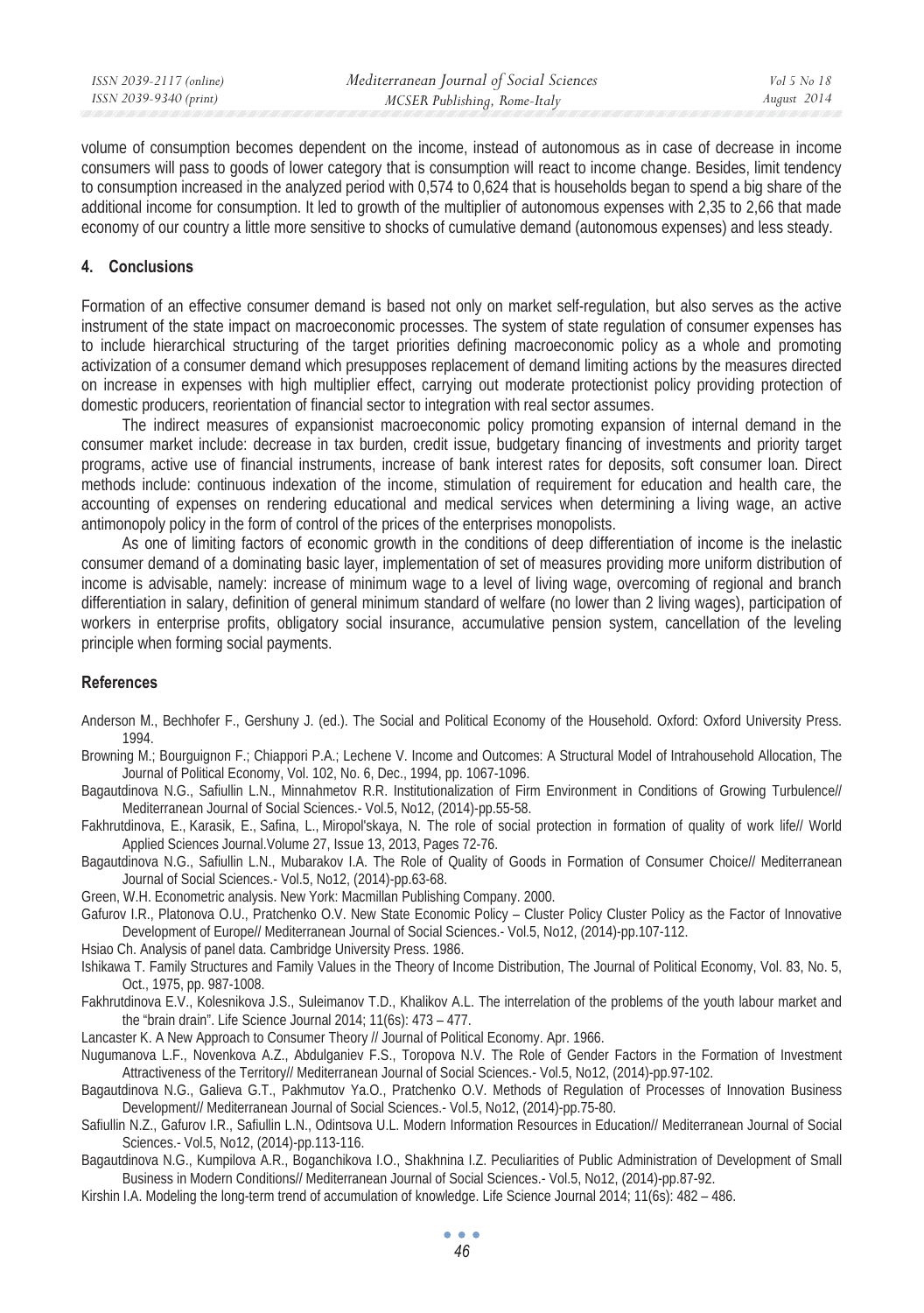volume of consumption becomes dependent on the income, instead of autonomous as in case of decrease in income consumers will pass to goods of lower category that is consumption will react to income change. Besides, limit tendency to consumption increased in the analyzed period with 0,574 to 0,624 that is households began to spend a big share of the additional income for consumption. It led to growth of the multiplier of autonomous expenses with 2,35 to 2,66 that made economy of our country a little more sensitive to shocks of cumulative demand (autonomous expenses) and less steady.

#### **4. Ɍonclusions**

Formation of an effective consumer demand is based not only on market self-regulation, but also serves as the active instrument of the state impact on macroeconomic processes. The system of state regulation of consumer expenses has to include hierarchical structuring of the target priorities defining macroeconomic policy as a whole and promoting activization of a consumer demand which presupposes replacement of demand limiting actions by the measures directed on increase in expenses with high multiplier effect, carrying out moderate protectionist policy providing protection of domestic producers, reorientation of financial sector to integration with real sector assumes.

The indirect measures of expansionist macroeconomic policy promoting expansion of internal demand in the consumer market include: decrease in tax burden, credit issue, budgetary financing of investments and priority target programs, active use of financial instruments, increase of bank interest rates for deposits, soft consumer loan. Direct methods include: continuous indexation of the income, stimulation of requirement for education and health care, the accounting of expenses on rendering educational and medical services when determining a living wage, an active antimonopoly policy in the form of control of the prices of the enterprises monopolists.

As one of limiting factors of economic growth in the conditions of deep differentiation of income is the inelastic consumer demand of a dominating basic layer, implementation of set of measures providing more uniform distribution of income is advisable, namely: increase of minimum wage to a level of living wage, overcoming of regional and branch differentiation in salary, definition of general minimum standard of welfare (no lower than 2 living wages), participation of workers in enterprise profits, obligatory social insurance, accumulative pension system, cancellation of the leveling principle when forming social payments.

### **References**

- Anderson M., Bechhofer F., Gershuny J. (ed.). The Social and Political Economy of the Household. Oxford: Oxford University Press. 1994.
- Browning M.; Bourguignon F.; Chiappori P.A.; Lechene V. Income and Outcomes: A Structural Model of Intrahousehold Allocation, The Journal of Political Economy, Vol. 102, No. 6, Dec., 1994, pp. 1067-1096.
- Bagautdinova N.G., Safiullin L.N., Minnahmetov R.R. Institutionalization of Firm Environment in Conditions of Growing Turbulence// Mediterranean Journal of Social Sciences.- Vol.5, No12, (2014)-pp.55-58.
- Fakhrutdinova, E., Karasik, E., Safina, L., Miropol'skaya, N. The role of social protection in formation of quality of work life// World Applied Sciences Journal.Volume 27, Issue 13, 2013, Pages 72-76.
- Bagautdinova N.G., Safiullin L.N., Mubarakov I.A. The Role of Quality of Goods in Formation of Consumer Choice// Mediterranean Journal of Social Sciences.- Vol.5, No12, (2014)-pp.63-68.
- Green, W.H. Econometric analysis. New York: Macmillan Publishing Company. 2000.
- Gafurov I.R., Platonova O.U., Pratchenko O.V. New State Economic Policy Cluster Policy Cluster Policy as the Factor of Innovative Development of Europe// Mediterranean Journal of Social Sciences.- Vol.5, No12, (2014)-pp.107-112.
- Hsiao Ch. Analysis of panel data. Cambridge University Press. 1986.
- Ishikawa T. Family Structures and Family Values in the Theory of Income Distribution, The Journal of Political Economy, Vol. 83, No. 5, Oct., 1975, pp. 987-1008.
- Fakhrutdinova E.V., Kolesnikova J.S., Suleimanov T.D., Khalikov A.L. The interrelation of the problems of the youth labour market and the "brain drain". Life Science Journal 2014; 11(6s): 473 – 477.
- Lancaster K. A New Approach to Consumer Theory // Journal of Political Economy. Apr. 1966.
- Nugumanova L.F., Novenkova A.Z., Abdulganiev F.S., Toropova N.V. The Role of Gender Factors in the Formation of Investment Attractiveness of the Territory// Mediterranean Journal of Social Sciences.- Vol.5, No12, (2014)-pp.97-102.
- Bagautdinova N.G., Galieva G.T., Pakhmutov Ya.O., Pratchenko O.V. Methods of Regulation of Processes of Innovation Business Development// Mediterranean Journal of Social Sciences.- Vol.5, No12, (2014)-pp.75-80.
- Safiullin N.Z., Gafurov I.R., Safiullin L.N., Odintsova U.L. Modern Information Resources in Education// Mediterranean Journal of Social Sciences.- Vol.5, No12, (2014)-pp.113-116.
- Bagautdinova N.G., Kumpilova A.R., Boganchikova I.O., Shakhnina I.Z. Peculiarities of Public Administration of Development of Small Business in Modern Conditions// Mediterranean Journal of Social Sciences.- Vol.5, No12, (2014)-pp.87-92.
- Kirshin I.A. Modeling the long-term trend of accumulation of knowledge. Life Science Journal 2014; 11(6s): 482 486.

*46*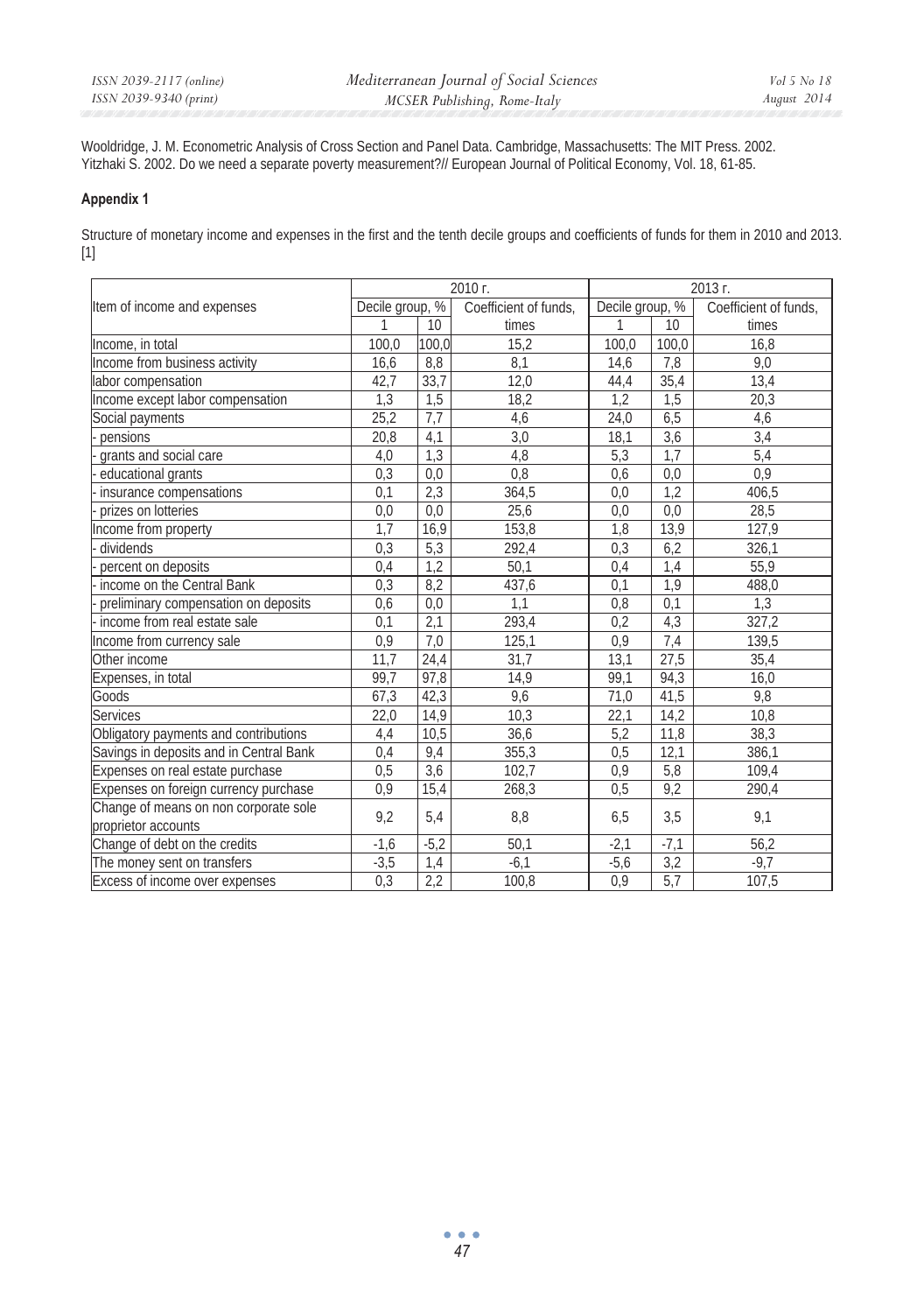Wooldridge, J. M. Econometric Analysis of Cross Section and Panel Data. Cambridge, Massachusetts: The MIT Press. 2002. Yitzhaki S. 2002. Do we need a separate poverty measurement?// European Journal of Political Economy, Vol. 18, 61-85.

#### **Appendix 1**

Structure of monetary income and expenses in the first and the tenth decile groups and coefficients of funds for them in 2010 and 2013. [1]

|                                                              | 2010 г.          |                  |                       | 2013 г.         |        |                       |
|--------------------------------------------------------------|------------------|------------------|-----------------------|-----------------|--------|-----------------------|
| Item of income and expenses                                  | Decile group, %  |                  | Coefficient of funds, | Decile group, % |        | Coefficient of funds, |
|                                                              | 1                | 10 <sup>1</sup>  | times                 | 1               | 10     | times                 |
| Income, in total                                             | 100,0            | 100,0            | 15,2                  | 100,0           | 100,0  | 16,8                  |
| Income from business activity                                | 16,6             | 8.8              | 8,1                   | 14,6            | 7,8    | 9.0                   |
| labor compensation                                           | 42,7             | 33,7             | 12,0                  | 44,4            | 35,4   | 13,4                  |
| Income except labor compensation                             | 1,3              | $\overline{1,5}$ | 18,2                  | 1,2             | 1,5    | 20,3                  |
| Social payments                                              | 25.2             | 7,7              | 4,6                   | 24,0            | 6,5    | 4,6                   |
| pensions                                                     | 20,8             | 4,1              | 3,0                   | 18,1            | 3,6    | 3,4                   |
| grants and social care                                       | 4,0              | 1,3              | 4,8                   | 5,3             | 1,7    | 5,4                   |
| educational grants                                           | 0,3              | 0,0              | 0,8                   | 0,6             | 0,0    | 0,9                   |
| insurance compensations                                      | 0,1              | 2,3              | 364,5                 | 0,0             | 1,2    | 406,5                 |
| prizes on lotteries                                          | 0.0              | 0,0              | 25,6                  | 0.0             | 0.0    | 28,5                  |
| Income from property                                         | 1.7              | 16,9             | 153,8                 | 1,8             | 13,9   | 127.9                 |
| dividends                                                    | 0,3              | 5,3              | 292,4                 | 0,3             | 6,2    | 326,1                 |
| percent on deposits                                          | 0,4              | 1,2              | 50,1                  | 0,4             | 1,4    | 55,9                  |
| income on the Central Bank                                   | 0,3              | 8,2              | 437,6                 | 0.1             | 1,9    | 488,0                 |
| preliminary compensation on deposits                         | 0.6              | 0,0              | 1,1                   | 0,8             | 0,1    | 1,3                   |
| income from real estate sale                                 | $\overline{0,1}$ | 2,1              | 293,4                 | 0,2             | 4,3    | 327,2                 |
| Income from currency sale                                    | 0.9              | 7,0              | 125,1                 | 0.9             | 7,4    | 139,5                 |
| Other income                                                 | 11,7             | 24,4             | 31,7                  | 13,1            | 27,5   | 35,4                  |
| Expenses, in total                                           | 99.7             | 97,8             | 14,9                  | 99.1            | 94,3   | 16,0                  |
| Goods                                                        | 67,3             | 42,3             | 9,6                   | 71.0            | 41,5   | 9,8                   |
| <b>Services</b>                                              | 22,0             | 14,9             | 10,3                  | 22,1            | 14,2   | 10,8                  |
| Obligatory payments and contributions                        | 4,4              | 10,5             | 36,6                  | 5,2             | 11,8   | 38,3                  |
| Savings in deposits and in Central Bank                      | 0.4              | 9,4              | 355,3                 | 0.5             | 12,1   | 386,1                 |
| Expenses on real estate purchase                             | 0,5              | 3,6              | 102,7                 | 0,9             | 5,8    | 109,4                 |
| Expenses on foreign currency purchase                        | 0.9              | 15,4             | 268,3                 | 0,5             | 9,2    | 290,4                 |
| Change of means on non corporate sole<br>proprietor accounts | 9,2              | 5,4              | 8,8                   | 6,5             | 3,5    | 9,1                   |
| Change of debt on the credits                                | $-1,6$           | $-5,2$           | 50,1                  | $-2,1$          | $-7,1$ | 56,2                  |
| The money sent on transfers                                  | $-3,5$           | 1,4              | $-6.1$                | $-5,6$          | 3,2    | $-9,7$                |
| Excess of income over expenses                               | 0,3              | 2,2              | 100,8                 | 0,9             | 5,7    | 107,5                 |